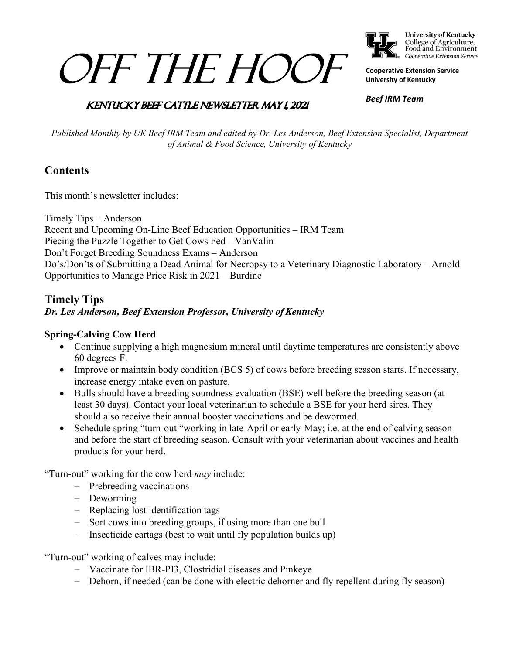# OFF THE HOOF



**University of Kentucky** College of Agriculture,<br>Food and Environment Cooperative Extension Service

**Cooperative Extension Service University of Kentucky**

### **KENTUCKY BEEF CATTLE NEWSLETTER MAY 1, 2021**

*Beef IRM Team*

*Published Monthly by UK Beef IRM Team and edited by Dr. Les Anderson, Beef Extension Specialist, Department of Animal & Food Science, University of Kentucky*

# **Contents**

This month's newsletter includes:

Timely Tips – Anderson Recent and Upcoming On-Line Beef Education Opportunities – IRM Team Piecing the Puzzle Together to Get Cows Fed – VanValin Don't Forget Breeding Soundness Exams – Anderson Do's/Don'ts of Submitting a Dead Animal for Necropsy to a Veterinary Diagnostic Laboratory – Arnold Opportunities to Manage Price Risk in 2021 – Burdine

## **Timely Tips** *Dr. Les Anderson, Beef Extension Professor, University of Kentucky*

#### **Spring-Calving Cow Herd**

- Continue supplying a high magnesium mineral until daytime temperatures are consistently above 60 degrees F.
- Improve or maintain body condition (BCS 5) of cows before breeding season starts. If necessary, increase energy intake even on pasture.
- Bulls should have a breeding soundness evaluation (BSE) well before the breeding season (at least 30 days). Contact your local veterinarian to schedule a BSE for your herd sires. They should also receive their annual booster vaccinations and be dewormed.
- Schedule spring "turn-out "working in late-April or early-May; i.e. at the end of calving season and before the start of breeding season. Consult with your veterinarian about vaccines and health products for your herd.

"Turn-out" working for the cow herd *may* include:

- − Prebreeding vaccinations
- − Deworming
- − Replacing lost identification tags
- − Sort cows into breeding groups, if using more than one bull
- − Insecticide eartags (best to wait until fly population builds up)

"Turn-out" working of calves may include:

- − Vaccinate for IBR-PI3, Clostridial diseases and Pinkeye
- − Dehorn, if needed (can be done with electric dehorner and fly repellent during fly season)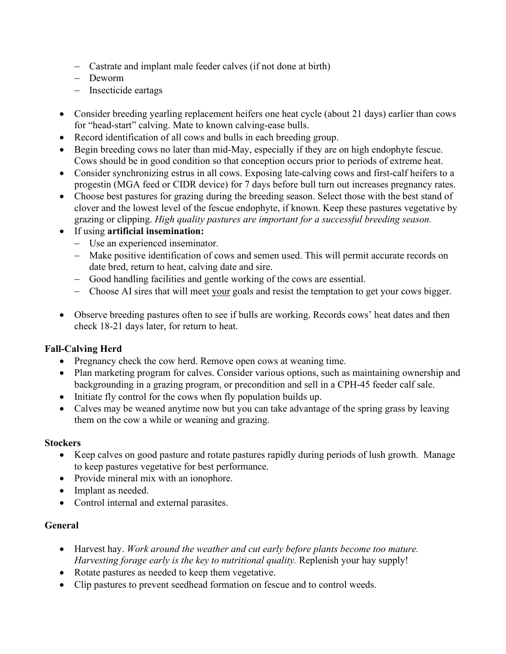- − Castrate and implant male feeder calves (if not done at birth)
- − Deworm
- − Insecticide eartags
- Consider breeding yearling replacement heifers one heat cycle (about 21 days) earlier than cows for "head-start" calving. Mate to known calving-ease bulls.
- Record identification of all cows and bulls in each breeding group.
- Begin breeding cows no later than mid-May, especially if they are on high endophyte fescue. Cows should be in good condition so that conception occurs prior to periods of extreme heat.
- Consider synchronizing estrus in all cows. Exposing late-calving cows and first-calf heifers to a progestin (MGA feed or CIDR device) for 7 days before bull turn out increases pregnancy rates.
- Choose best pastures for grazing during the breeding season. Select those with the best stand of clover and the lowest level of the fescue endophyte, if known. Keep these pastures vegetative by grazing or clipping. *High quality pastures are important for a successful breeding season.*
- If using **artificial insemination:**
	- − Use an experienced inseminator.
	- − Make positive identification of cows and semen used. This will permit accurate records on date bred, return to heat, calving date and sire.
	- − Good handling facilities and gentle working of the cows are essential.
	- − Choose AI sires that will meet your goals and resist the temptation to get your cows bigger.
- Observe breeding pastures often to see if bulls are working. Records cows' heat dates and then check 18-21 days later, for return to heat.

#### **Fall-Calving Herd**

- Pregnancy check the cow herd. Remove open cows at weaning time.
- Plan marketing program for calves. Consider various options, such as maintaining ownership and backgrounding in a grazing program, or precondition and sell in a CPH-45 feeder calf sale.
- Initiate fly control for the cows when fly population builds up.
- Calves may be weaned anytime now but you can take advantage of the spring grass by leaving them on the cow a while or weaning and grazing.

#### **Stockers**

- Keep calves on good pasture and rotate pastures rapidly during periods of lush growth. Manage to keep pastures vegetative for best performance.
- Provide mineral mix with an ionophore.
- Implant as needed.
- Control internal and external parasites.

#### **General**

- Harvest hay. *Work around the weather and cut early before plants become too mature. Harvesting forage early is the key to nutritional quality.* Replenish your hay supply!
- Rotate pastures as needed to keep them vegetative.
- Clip pastures to prevent seedhead formation on fescue and to control weeds.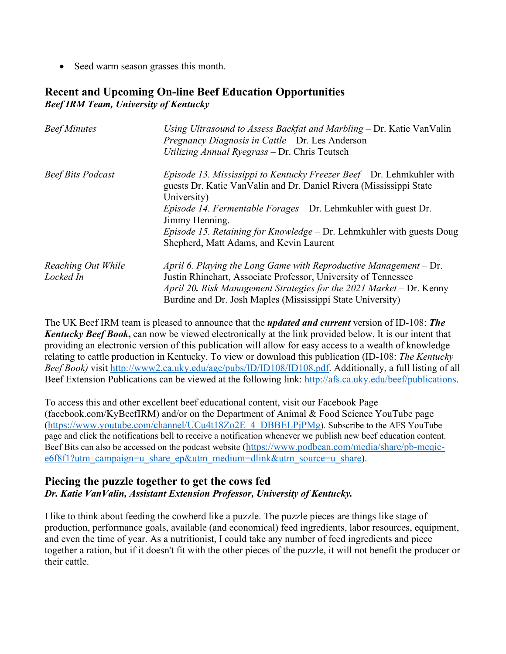• Seed warm season grasses this month.

## **Recent and Upcoming On-line Beef Education Opportunities** *Beef IRM Team, University of Kentucky*

| <b>Beef Minutes</b>             | Using Ultrasound to Assess Backfat and Marbling – Dr. Katie VanValin<br>Pregnancy Diagnosis in Cattle – Dr. Les Anderson<br>Utilizing Annual Ryegrass - Dr. Chris Teutsch                                                                                                                                                                                                           |
|---------------------------------|-------------------------------------------------------------------------------------------------------------------------------------------------------------------------------------------------------------------------------------------------------------------------------------------------------------------------------------------------------------------------------------|
| <b>Beef Bits Podcast</b>        | <i>Episode 13. Mississippi to Kentucky Freezer Beef</i> – Dr. Lehmkuhler with<br>guests Dr. Katie Van Valin and Dr. Daniel Rivera (Mississippi State<br>University)<br>Episode 14. Fermentable Forages - Dr. Lehmkuhler with guest Dr.<br>Jimmy Henning.<br><i>Episode 15. Retaining for Knowledge – Dr. Lehmkuhler with guests Doug</i><br>Shepherd, Matt Adams, and Kevin Laurent |
| Reaching Out While<br>Locked In | April 6. Playing the Long Game with Reproductive Management $-$ Dr.<br>Justin Rhinehart, Associate Professor, University of Tennessee<br>April 20. Risk Management Strategies for the 2021 Market – Dr. Kenny<br>Burdine and Dr. Josh Maples (Mississippi State University)                                                                                                         |

The UK Beef IRM team is pleased to announce that the *updated and current* version of ID-108: *The Kentucky Beef Book***,** can now be viewed electronically at the link provided below. It is our intent that providing an electronic version of this publication will allow for easy access to a wealth of knowledge relating to cattle production in Kentucky. To view or download this publication (ID-108: *The Kentucky Beef Book)* visit [http://www2.ca.uky.edu/agc/pubs/ID/ID108/ID108.pdf.](https://nam04.safelinks.protection.outlook.com/?url=http%3A%2F%2Fwww2.ca.uky.edu%2Fagc%2Fpubs%2FID%2FID108%2FID108.pdf&data=04%7C01%7Cbenjamin.crites%40uky.edu%7Cc5522d1141dd45ba45ad08d8ee22b3ce%7C2b30530b69b64457b818481cb53d42ae%7C0%7C0%7C637521180093252784%7CUnknown%7CTWFpbGZsb3d8eyJWIjoiMC4wLjAwMDAiLCJQIjoiV2luMzIiLCJBTiI6Ik1haWwiLCJXVCI6Mn0%3D%7C1000&sdata=kxNCFOmAhuUUBrGmx%2Bm2T3DUSTxaS5%2F2POlghkrPW4s%3D&reserved=0) Additionally, a full listing of all Beef Extension Publications can be viewed at the following link: [http://afs.ca.uky.edu/beef/publications.](http://afs.ca.uky.edu/beef/publications)

To access this and other excellent beef educational content, visit our Facebook Page (facebook.com/KyBeefIRM) and/or on the Department of Animal & Food Science YouTube page [\(https://www.youtube.com/channel/UCu4t18Zo2E\\_4\\_DBBELPjPMg\)](https://www.youtube.com/channel/UCu4t18Zo2E_4_DBBELPjPMg). Subscribe to the AFS YouTube page and click the notifications bell to receive a notification whenever we publish new beef education content. Beef Bits can also be accessed on the podcast website [\(https://www.podbean.com/media/share/pb-meqic](https://www.podbean.com/media/share/pb-meqic-e6f8f1?utm_campaign=u_share_ep&utm_medium=dlink&utm_source=u_share)[e6f8f1?utm\\_campaign=u\\_share\\_ep&utm\\_medium=dlink&utm\\_source=u\\_share\)](https://www.podbean.com/media/share/pb-meqic-e6f8f1?utm_campaign=u_share_ep&utm_medium=dlink&utm_source=u_share).

#### **Piecing the puzzle together to get the cows fed** *Dr. Katie VanValin, Assistant Extension Professor, University of Kentucky.*

I like to think about feeding the cowherd like a puzzle. The puzzle pieces are things like stage of production, performance goals, available (and economical) feed ingredients, labor resources, equipment, and even the time of year. As a nutritionist, I could take any number of feed ingredients and piece together a ration, but if it doesn't fit with the other pieces of the puzzle, it will not benefit the producer or their cattle.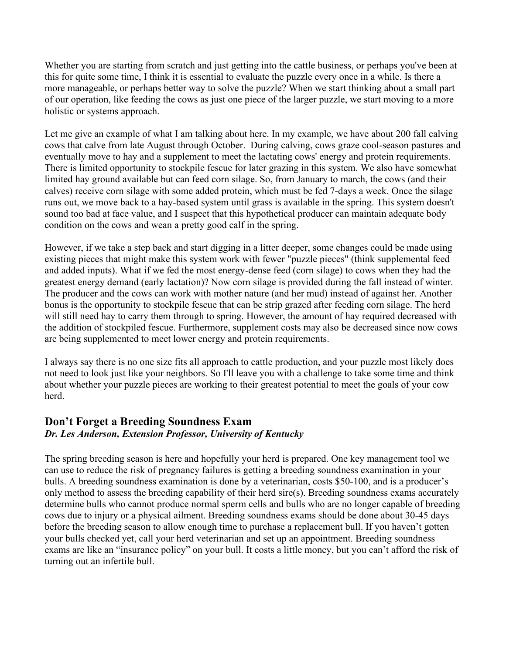Whether you are starting from scratch and just getting into the cattle business, or perhaps you've been at this for quite some time, I think it is essential to evaluate the puzzle every once in a while. Is there a more manageable, or perhaps better way to solve the puzzle? When we start thinking about a small part of our operation, like feeding the cows as just one piece of the larger puzzle, we start moving to a more holistic or systems approach.

Let me give an example of what I am talking about here. In my example, we have about 200 fall calving cows that calve from late August through October. During calving, cows graze cool-season pastures and eventually move to hay and a supplement to meet the lactating cows' energy and protein requirements. There is limited opportunity to stockpile fescue for later grazing in this system. We also have somewhat limited hay ground available but can feed corn silage. So, from January to march, the cows (and their calves) receive corn silage with some added protein, which must be fed 7-days a week. Once the silage runs out, we move back to a hay-based system until grass is available in the spring. This system doesn't sound too bad at face value, and I suspect that this hypothetical producer can maintain adequate body condition on the cows and wean a pretty good calf in the spring.

However, if we take a step back and start digging in a litter deeper, some changes could be made using existing pieces that might make this system work with fewer "puzzle pieces" (think supplemental feed and added inputs). What if we fed the most energy-dense feed (corn silage) to cows when they had the greatest energy demand (early lactation)? Now corn silage is provided during the fall instead of winter. The producer and the cows can work with mother nature (and her mud) instead of against her. Another bonus is the opportunity to stockpile fescue that can be strip grazed after feeding corn silage. The herd will still need hay to carry them through to spring. However, the amount of hay required decreased with the addition of stockpiled fescue. Furthermore, supplement costs may also be decreased since now cows are being supplemented to meet lower energy and protein requirements.

I always say there is no one size fits all approach to cattle production, and your puzzle most likely does not need to look just like your neighbors. So I'll leave you with a challenge to take some time and think about whether your puzzle pieces are working to their greatest potential to meet the goals of your cow herd.

# **Don't Forget a Breeding Soundness Exam**

## *Dr. Les Anderson, Extension Professor, University of Kentucky*

The spring breeding season is here and hopefully your herd is prepared. One key management tool we can use to reduce the risk of pregnancy failures is getting a breeding soundness examination in your bulls. A breeding soundness examination is done by a veterinarian, costs \$50-100, and is a producer's only method to assess the breeding capability of their herd sire(s). Breeding soundness exams accurately determine bulls who cannot produce normal sperm cells and bulls who are no longer capable of breeding cows due to injury or a physical ailment. Breeding soundness exams should be done about 30-45 days before the breeding season to allow enough time to purchase a replacement bull. If you haven't gotten your bulls checked yet, call your herd veterinarian and set up an appointment. Breeding soundness exams are like an "insurance policy" on your bull. It costs a little money, but you can't afford the risk of turning out an infertile bull.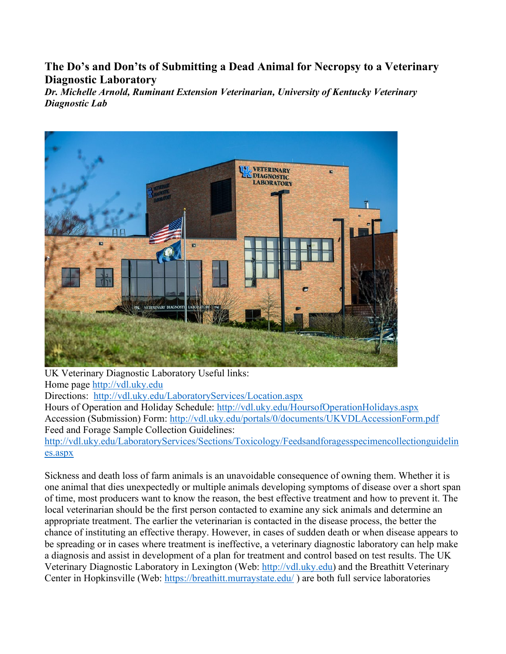**The Do's and Don'ts of Submitting a Dead Animal for Necropsy to a Veterinary Diagnostic Laboratory**

*Dr. Michelle Arnold, Ruminant Extension Veterinarian, University of Kentucky Veterinary Diagnostic Lab*



UK Veterinary Diagnostic Laboratory Useful links: Home page [http://vdl.uky.edu](http://vdl.uky.edu/) Directions: <http://vdl.uky.edu/LaboratoryServices/Location.aspx> Hours of Operation and Holiday Schedule:<http://vdl.uky.edu/HoursofOperationHolidays.aspx> Accession (Submission) Form:<http://vdl.uky.edu/portals/0/documents/UKVDLAccessionForm.pdf> Feed and Forage Sample Collection Guidelines: [http://vdl.uky.edu/LaboratoryServices/Sections/Toxicology/Feedsandforagesspecimencollectionguidelin](http://vdl.uky.edu/LaboratoryServices/Sections/Toxicology/Feedsandforagesspecimencollectionguidelines.aspx) [es.aspx](http://vdl.uky.edu/LaboratoryServices/Sections/Toxicology/Feedsandforagesspecimencollectionguidelines.aspx)

Sickness and death loss of farm animals is an unavoidable consequence of owning them. Whether it is one animal that dies unexpectedly or multiple animals developing symptoms of disease over a short span of time, most producers want to know the reason, the best effective treatment and how to prevent it. The local veterinarian should be the first person contacted to examine any sick animals and determine an appropriate treatment. The earlier the veterinarian is contacted in the disease process, the better the chance of instituting an effective therapy. However, in cases of sudden death or when disease appears to be spreading or in cases where treatment is ineffective, a veterinary diagnostic laboratory can help make a diagnosis and assist in development of a plan for treatment and control based on test results. The UK Veterinary Diagnostic Laboratory in Lexington (Web: [http://vdl.uky.edu\)](http://vdl.uky.edu/) and the Breathitt Veterinary Center in Hopkinsville (Web:<https://breathitt.murraystate.edu/> ) are both full service laboratories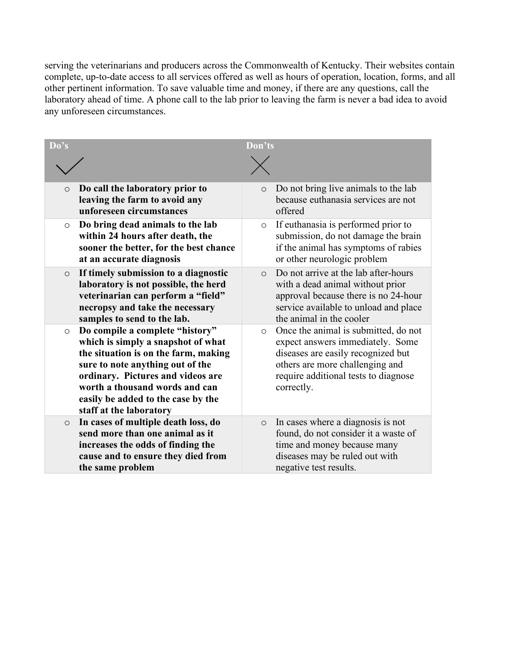serving the veterinarians and producers across the Commonwealth of Kentucky. Their websites contain complete, up-to-date access to all services offered as well as hours of operation, location, forms, and all other pertinent information. To save valuable time and money, if there are any questions, call the laboratory ahead of time. A phone call to the lab prior to leaving the farm is never a bad idea to avoid any unforeseen circumstances.

| Do's    | Don'ts                                                                                                                                                                                                                                                                                    |                                                                                                                                                                                                                    |  |  |
|---------|-------------------------------------------------------------------------------------------------------------------------------------------------------------------------------------------------------------------------------------------------------------------------------------------|--------------------------------------------------------------------------------------------------------------------------------------------------------------------------------------------------------------------|--|--|
|         |                                                                                                                                                                                                                                                                                           |                                                                                                                                                                                                                    |  |  |
| $\circ$ | Do call the laboratory prior to<br>leaving the farm to avoid any<br>unforeseen circumstances                                                                                                                                                                                              | Do not bring live animals to the lab<br>$\circ$<br>because euthanasia services are not<br>offered                                                                                                                  |  |  |
| $\circ$ | Do bring dead animals to the lab<br>within 24 hours after death, the<br>sooner the better, for the best chance<br>at an accurate diagnosis                                                                                                                                                | If euthanasia is performed prior to<br>$\circ$<br>submission, do not damage the brain<br>if the animal has symptoms of rabies<br>or other neurologic problem                                                       |  |  |
| $\circ$ | If timely submission to a diagnostic<br>laboratory is not possible, the herd<br>veterinarian can perform a "field"<br>necropsy and take the necessary<br>samples to send to the lab.                                                                                                      | Do not arrive at the lab after-hours<br>$\Omega$<br>with a dead animal without prior<br>approval because there is no 24-hour<br>service available to unload and place<br>the animal in the cooler                  |  |  |
| $\circ$ | Do compile a complete "history"<br>which is simply a snapshot of what<br>the situation is on the farm, making<br>sure to note anything out of the<br>ordinary. Pictures and videos are<br>worth a thousand words and can<br>easily be added to the case by the<br>staff at the laboratory | Once the animal is submitted, do not<br>$\circ$<br>expect answers immediately. Some<br>diseases are easily recognized but<br>others are more challenging and<br>require additional tests to diagnose<br>correctly. |  |  |
| $\circ$ | In cases of multiple death loss, do<br>send more than one animal as it<br>increases the odds of finding the<br>cause and to ensure they died from<br>the same problem                                                                                                                     | In cases where a diagnosis is not<br>$\circ$<br>found, do not consider it a waste of<br>time and money because many<br>diseases may be ruled out with<br>negative test results.                                    |  |  |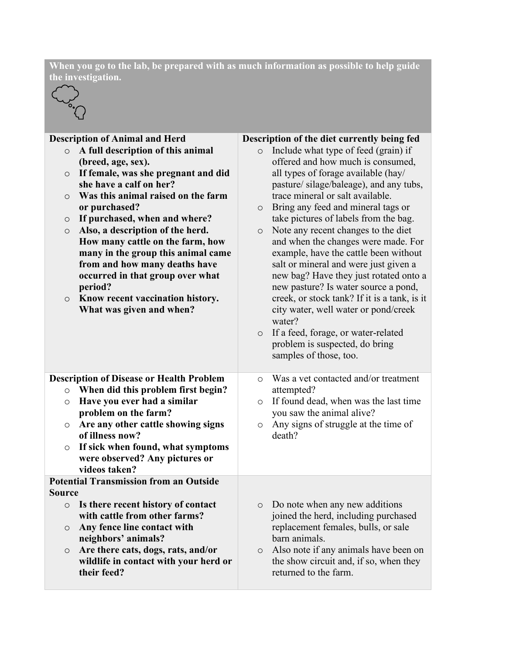**When you go to the lab, be prepared with as much information as possible to help guide the investigation.**



| <b>Description of Animal and Herd</b> |                                                 |         |                                                                                       |
|---------------------------------------|-------------------------------------------------|---------|---------------------------------------------------------------------------------------|
| $\circ$                               | A full description of this animal               |         | Description of the diet currently being fed<br>o Include what type of feed (grain) if |
|                                       | (breed, age, sex).                              |         | offered and how much is consumed,                                                     |
| $\circ$                               | If female, was she pregnant and did             |         | all types of forage available (hay/                                                   |
|                                       | she have a calf on her?                         |         | pasture/silage/baleage), and any tubs,                                                |
|                                       | Was this animal raised on the farm              |         | trace mineral or salt available.                                                      |
| $\circ$                               |                                                 |         |                                                                                       |
|                                       | or purchased?                                   | $\circ$ | Bring any feed and mineral tags or                                                    |
| $\circ$                               | If purchased, when and where?                   |         | take pictures of labels from the bag.                                                 |
| $\circ$                               | Also, a description of the herd.                | $\circ$ | Note any recent changes to the diet                                                   |
|                                       | How many cattle on the farm, how                |         | and when the changes were made. For                                                   |
|                                       | many in the group this animal came              |         | example, have the cattle been without                                                 |
|                                       | from and how many deaths have                   |         | salt or mineral and were just given a                                                 |
|                                       | occurred in that group over what                |         | new bag? Have they just rotated onto a                                                |
|                                       | period?                                         |         | new pasture? Is water source a pond,                                                  |
| $\circ$                               | Know recent vaccination history.                |         | creek, or stock tank? If it is a tank, is it                                          |
|                                       | What was given and when?                        |         | city water, well water or pond/creek                                                  |
|                                       |                                                 |         | water?                                                                                |
|                                       |                                                 | $\circ$ | If a feed, forage, or water-related                                                   |
|                                       |                                                 |         | problem is suspected, do bring                                                        |
|                                       |                                                 |         | samples of those, too.                                                                |
|                                       |                                                 |         |                                                                                       |
|                                       | <b>Description of Disease or Health Problem</b> | $\circ$ | Was a vet contacted and/or treatment                                                  |
| $\circ$                               | When did this problem first begin?              |         | attempted?                                                                            |
| $\circ$                               | Have you ever had a similar                     | $\circ$ | If found dead, when was the last time                                                 |
|                                       | problem on the farm?                            |         | you saw the animal alive?                                                             |
| $\circ$                               | Are any other cattle showing signs              | $\circ$ | Any signs of struggle at the time of                                                  |
|                                       | of illness now?                                 |         | death?                                                                                |
| $\circ$                               | If sick when found, what symptoms               |         |                                                                                       |
|                                       | were observed? Any pictures or                  |         |                                                                                       |
|                                       | videos taken?                                   |         |                                                                                       |
|                                       | <b>Potential Transmission from an Outside</b>   |         |                                                                                       |
| <b>Source</b>                         |                                                 |         |                                                                                       |
| $\circ$                               | Is there recent history of contact              | $\circ$ | Do note when any new additions                                                        |
|                                       | with cattle from other farms?                   |         | joined the herd, including purchased                                                  |
| $\circ$                               | Any fence line contact with                     |         | replacement females, bulls, or sale                                                   |
|                                       | neighbors' animals?                             |         | barn animals.                                                                         |
| $\circ$                               | Are there cats, dogs, rats, and/or              | $\circ$ | Also note if any animals have been on                                                 |
|                                       | wildlife in contact with your herd or           |         | the show circuit and, if so, when they                                                |
|                                       | their feed?                                     |         | returned to the farm.                                                                 |
|                                       |                                                 |         |                                                                                       |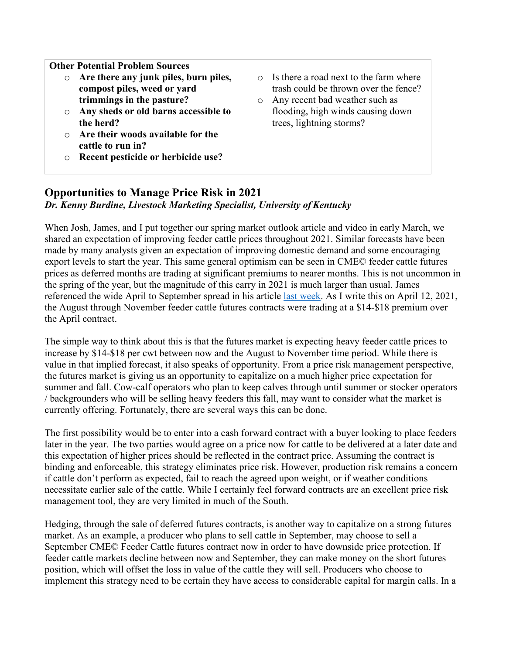**Other Potential Problem Sources**

- o **Are there any junk piles, burn piles, compost piles, weed or yard trimmings in the pasture?**
- o **Any sheds or old barns accessible to the herd?**
- o **Are their woods available for the cattle to run in?**
- o **Recent pesticide or herbicide use?**
- o Is there a road next to the farm where trash could be thrown over the fence?
- o Any recent bad weather such as flooding, high winds causing down trees, lightning storms?

#### **Opportunities to Manage Price Risk in 2021** *Dr. Kenny Burdine, Livestock Marketing Specialist, University of Kentucky*

When Josh, James, and I put together our spring market outlook article and video in early March, we shared an expectation of improving feeder cattle prices throughout 2021. Similar forecasts have been made by many analysts given an expectation of improving domestic demand and some encouraging export levels to start the year. This same general optimism can be seen in CME© feeder cattle futures prices as deferred months are trading at significant premiums to nearer months. This is not uncommon in the spring of the year, but the magnitude of this carry in 2021 is much larger than usual. James referenced the wide April to September spread in his article [last week.](https://mailchi.mp/4bd787dc5645/cattle-market-notes-weekly-19184768?e=97693da52e) As I write this on April 12, 2021, the August through November feeder cattle futures contracts were trading at a \$14-\$18 premium over the April contract.

The simple way to think about this is that the futures market is expecting heavy feeder cattle prices to increase by \$14-\$18 per cwt between now and the August to November time period. While there is value in that implied forecast, it also speaks of opportunity. From a price risk management perspective, the futures market is giving us an opportunity to capitalize on a much higher price expectation for summer and fall. Cow-calf operators who plan to keep calves through until summer or stocker operators / backgrounders who will be selling heavy feeders this fall, may want to consider what the market is currently offering. Fortunately, there are several ways this can be done.

The first possibility would be to enter into a cash forward contract with a buyer looking to place feeders later in the year. The two parties would agree on a price now for cattle to be delivered at a later date and this expectation of higher prices should be reflected in the contract price. Assuming the contract is binding and enforceable, this strategy eliminates price risk. However, production risk remains a concern if cattle don't perform as expected, fail to reach the agreed upon weight, or if weather conditions necessitate earlier sale of the cattle. While I certainly feel forward contracts are an excellent price risk management tool, they are very limited in much of the South.

Hedging, through the sale of deferred futures contracts, is another way to capitalize on a strong futures market. As an example, a producer who plans to sell cattle in September, may choose to sell a September CME© Feeder Cattle futures contract now in order to have downside price protection. If feeder cattle markets decline between now and September, they can make money on the short futures position, which will offset the loss in value of the cattle they will sell. Producers who choose to implement this strategy need to be certain they have access to considerable capital for margin calls. In a